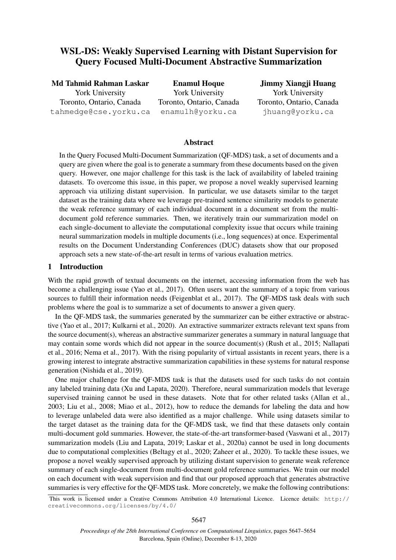# WSL-DS: Weakly Supervised Learning with Distant Supervision for Query Focused Multi-Document Abstractive Summarization

Md Tahmid Rahman Laskar York University Toronto, Ontario, Canada tahmedge@cse.yorku.ca

Enamul Hoque York University Toronto, Ontario, Canada enamulh@yorku.ca

Jimmy Xiangji Huang York University Toronto, Ontario, Canada jhuang@yorku.ca

#### Abstract

In the Query Focused Multi-Document Summarization (QF-MDS) task, a set of documents and a query are given where the goal is to generate a summary from these documents based on the given query. However, one major challenge for this task is the lack of availability of labeled training datasets. To overcome this issue, in this paper, we propose a novel weakly supervised learning approach via utilizing distant supervision. In particular, we use datasets similar to the target dataset as the training data where we leverage pre-trained sentence similarity models to generate the weak reference summary of each individual document in a document set from the multidocument gold reference summaries. Then, we iteratively train our summarization model on each single-document to alleviate the computational complexity issue that occurs while training neural summarization models in multiple documents (i.e., long sequences) at once. Experimental results on the Document Understanding Conferences (DUC) datasets show that our proposed approach sets a new state-of-the-art result in terms of various evaluation metrics.

#### 1 Introduction

With the rapid growth of textual documents on the internet, accessing information from the web has become a challenging issue (Yao et al., 2017). Often users want the summary of a topic from various sources to fulfill their information needs (Feigenblat et al., 2017). The QF-MDS task deals with such problems where the goal is to summarize a set of documents to answer a given query.

In the QF-MDS task, the summaries generated by the summarizer can be either extractive or abstractive (Yao et al., 2017; Kulkarni et al., 2020). An extractive summarizer extracts relevant text spans from the source document(s), whereas an abstractive summarizer generates a summary in natural language that may contain some words which did not appear in the source document(s) (Rush et al., 2015; Nallapati et al., 2016; Nema et al., 2017). With the rising popularity of virtual assistants in recent years, there is a growing interest to integrate abstractive summarization capabilities in these systems for natural response generation (Nishida et al., 2019).

One major challenge for the QF-MDS task is that the datasets used for such tasks do not contain any labeled training data (Xu and Lapata, 2020). Therefore, neural summarization models that leverage supervised training cannot be used in these datasets. Note that for other related tasks (Allan et al., 2003; Liu et al., 2008; Miao et al., 2012), how to reduce the demands for labeling the data and how to leverage unlabeled data were also identified as a major challenge. While using datasets similar to the target dataset as the training data for the QF-MDS task, we find that these datasets only contain multi-document gold summaries. However, the state-of-the-art transformer-based (Vaswani et al., 2017) summarization models (Liu and Lapata, 2019; Laskar et al., 2020a) cannot be used in long documents due to computational complexities (Beltagy et al., 2020; Zaheer et al., 2020). To tackle these issues, we propose a novel weakly supervised approach by utilizing distant supervision to generate weak reference summary of each single-document from multi-document gold reference summaries. We train our model on each document with weak supervision and find that our proposed approach that generates abstractive summaries is very effective for the QF-MDS task. More concretely, we make the following contributions:

This work is licensed under a Creative Commons Attribution 4.0 International Licence. Licence details: http:// creativecommons.org/licenses/by/4.0/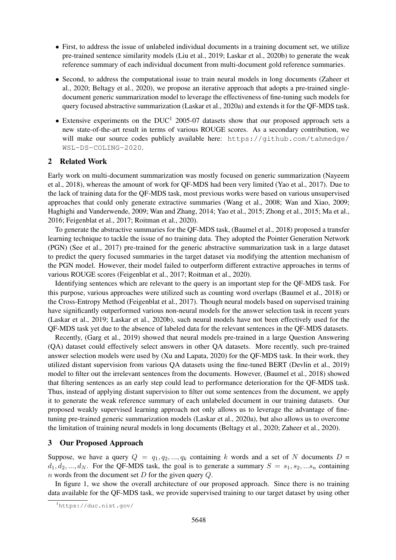- First, to address the issue of unlabeled individual documents in a training document set, we utilize pre-trained sentence similarity models (Liu et al., 2019; Laskar et al., 2020b) to generate the weak reference summary of each individual document from multi-document gold reference summaries.
- Second, to address the computational issue to train neural models in long documents (Zaheer et al., 2020; Beltagy et al., 2020), we propose an iterative approach that adopts a pre-trained singledocument generic summarization model to leverage the effectiveness of fine-tuning such models for query focused abstractive summarization (Laskar et al., 2020a) and extends it for the QF-MDS task.
- Extensive experiments on the DUC<sup>1</sup> 2005-07 datasets show that our proposed approach sets a new state-of-the-art result in terms of various ROUGE scores. As a secondary contribution, we will make our source codes publicly available here: https://github.com/tahmedge/ WSL-DS-COLING-2020.

#### 2 Related Work

Early work on multi-document summarization was mostly focused on generic summarization (Nayeem et al., 2018), whereas the amount of work for QF-MDS had been very limited (Yao et al., 2017). Due to the lack of training data for the QF-MDS task, most previous works were based on various unsupervised approaches that could only generate extractive summaries (Wang et al., 2008; Wan and Xiao, 2009; Haghighi and Vanderwende, 2009; Wan and Zhang, 2014; Yao et al., 2015; Zhong et al., 2015; Ma et al., 2016; Feigenblat et al., 2017; Roitman et al., 2020).

To generate the abstractive summaries for the QF-MDS task, (Baumel et al., 2018) proposed a transfer learning technique to tackle the issue of no training data. They adopted the Pointer Generation Network (PGN) (See et al., 2017) pre-trained for the generic abstractive summarization task in a large dataset to predict the query focused summaries in the target dataset via modifying the attention mechanism of the PGN model. However, their model failed to outperform different extractive approaches in terms of various ROUGE scores (Feigenblat et al., 2017; Roitman et al., 2020).

Identifying sentences which are relevant to the query is an important step for the QF-MDS task. For this purpose, various approaches were utilized such as counting word overlaps (Baumel et al., 2018) or the Cross-Entropy Method (Feigenblat et al., 2017). Though neural models based on supervised training have significantly outperformed various non-neural models for the answer selection task in recent years (Laskar et al., 2019; Laskar et al., 2020b), such neural models have not been effectively used for the QF-MDS task yet due to the absence of labeled data for the relevant sentences in the QF-MDS datasets.

Recently, (Garg et al., 2019) showed that neural models pre-trained in a large Question Answering (QA) dataset could effectively select answers in other QA datasets. More recently, such pre-trained answer selection models were used by (Xu and Lapata, 2020) for the QF-MDS task. In their work, they utilized distant supervision from various QA datasets using the fine-tuned BERT (Devlin et al., 2019) model to filter out the irrelevant sentences from the documents. However, (Baumel et al., 2018) showed that filtering sentences as an early step could lead to performance deterioration for the QF-MDS task. Thus, instead of applying distant supervision to filter out some sentences from the document, we apply it to generate the weak reference summary of each unlabeled document in our training datasets. Our proposed weakly supervised learning approach not only allows us to leverage the advantage of finetuning pre-trained generic summarization models (Laskar et al., 2020a), but also allows us to overcome the limitation of training neural models in long documents (Beltagy et al., 2020; Zaheer et al., 2020).

#### 3 Our Proposed Approach

Suppose, we have a query  $Q = q_1, q_2, ..., q_k$  containing k words and a set of N documents  $D =$  $d_1, d_2, ..., d_N$ . For the QF-MDS task, the goal is to generate a summary  $S = s_1, s_2, ... s_n$  containing n words from the document set  $D$  for the given query  $Q$ .

In figure 1, we show the overall architecture of our proposed approach. Since there is no training data available for the QF-MDS task, we provide supervised training to our target dataset by using other

<sup>1</sup>https://duc.nist.gov/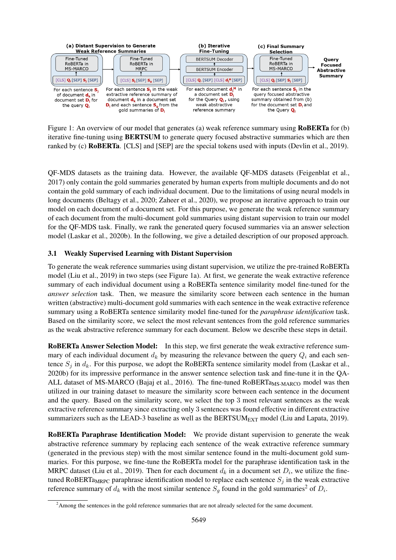

Figure 1: An overview of our model that generates (a) weak reference summary using **RoBERTa** for (b) iterative fine-tuning using BERTSUM to generate query focused abstractive summaries which are then ranked by (c) RoBERTa. [CLS] and [SEP] are the special tokens used with inputs (Devlin et al., 2019).

QF-MDS datasets as the training data. However, the available QF-MDS datasets (Feigenblat et al., 2017) only contain the gold summaries generated by human experts from multiple documents and do not contain the gold summary of each individual document. Due to the limitations of using neural models in long documents (Beltagy et al., 2020; Zaheer et al., 2020), we propose an iterative approach to train our model on each document of a document set. For this purpose, we generate the weak reference summary of each document from the multi-document gold summaries using distant supervision to train our model for the QF-MDS task. Finally, we rank the generated query focused summaries via an answer selection model (Laskar et al., 2020b). In the following, we give a detailed description of our proposed approach.

## 3.1 Weakly Supervised Learning with Distant Supervision

To generate the weak reference summaries using distant supervision, we utilize the pre-trained RoBERTa model (Liu et al., 2019) in two steps (see Figure 1a). At first, we generate the weak extractive reference summary of each individual document using a RoBERTa sentence similarity model fine-tuned for the *answer selection* task. Then, we measure the similarity score between each sentence in the human written (abstractive) multi-document gold summaries with each sentence in the weak extractive reference summary using a RoBERTa sentence similarity model fine-tuned for the *paraphrase identification* task. Based on the similarity score, we select the most relevant sentences from the gold reference summaries as the weak abstractive reference summary for each document. Below we describe these steps in detail.

RoBERTa Answer Selection Model: In this step, we first generate the weak extractive reference summary of each individual document  $d_k$  by measuring the relevance between the query  $Q_i$  and each sentence  $S_i$  in  $d_k$ . For this purpose, we adopt the RoBERTa sentence similarity model from (Laskar et al., 2020b) for its impressive performance in the answer sentence selection task and fine-tune it in the QA-ALL dataset of MS-MARCO (Bajaj et al., 2016). The fine-tuned RoBERTa<sub>MS-MARCO</sub> model was then utilized in our training dataset to measure the similarity score between each sentence in the document and the query. Based on the similarity score, we select the top 3 most relevant sentences as the weak extractive reference summary since extracting only 3 sentences was found effective in different extractive summarizers such as the LEAD-3 baseline as well as the BERTSUM<sub>EXT</sub> model (Liu and Lapata, 2019).

RoBERTa Paraphrase Identification Model: We provide distant supervision to generate the weak abstractive reference summary by replacing each sentence of the weak extractive reference summary (generated in the previous step) with the most similar sentence found in the multi-document gold summaries. For this purpose, we fine-tune the RoBERTa model for the paraphrase identification task in the MRPC dataset (Liu et al., 2019). Then for each document  $d_k$  in a document set  $D_i$ , we utilize the finetuned RoBERTa<sub>MRPC</sub> paraphrase identification model to replace each sentence  $S_i$  in the weak extractive reference summary of  $d_k$  with the most similar sentence  $S_g$  found in the gold summaries<sup>2</sup> of  $D_i$ .

<sup>&</sup>lt;sup>2</sup>Among the sentences in the gold reference summaries that are not already selected for the same document.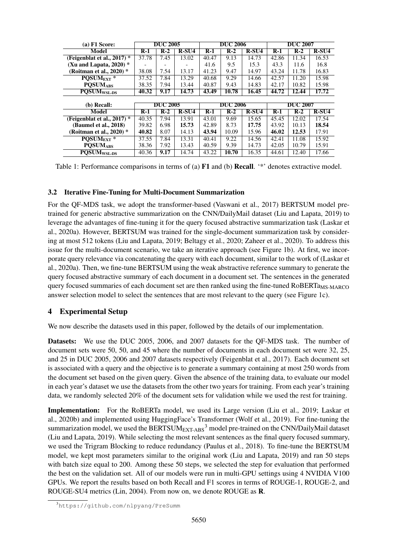| $(a)$ F1 Score:                               | <b>DUC 2005</b> |                 | <b>DUC 2006</b> |       |                 | <b>DUC 2007</b> |       |                 |         |
|-----------------------------------------------|-----------------|-----------------|-----------------|-------|-----------------|-----------------|-------|-----------------|---------|
| <b>Model</b>                                  | $R-1$           | $R-2$           | $R-SU4$         | $R-1$ | $R-2$           | $R-SU4$         | $R-1$ | $R-2$           | $R-SU4$ |
| (Feigenblat et al., $2017$ ) $*$              | 37.78           | 7.45            | 13.02           | 40.47 | 9.13            | 14.73           | 42.86 | 11.34           | 16.53   |
| (Xu and Lapata, $2020$ ) $*$                  |                 |                 |                 | 41.6  | 9.5             | 15.3            | 43.3  | 11.6            | 16.8    |
| (Roitman et al., 2020) $*$                    | 38.08           | 7.54            | 13.17           | 41.23 | 9.47            | 14.97           | 43.24 | 11.78           | 16.83   |
| POSUM <sub>EXT</sub> *                        | 37.52           | 7.84            | 13.29           | 40.68 | 9.29            | 14.66           | 42.57 | 11.20           | 15.98   |
| <b>POSUMARS</b>                               | 38.35           | 7.94            | 13.44           | 40.87 | 9.43            | 14.83           | 42.17 | 10.82           | 15.98   |
| $\overline{\mathrm{POSUM}}_{\mathrm{WSL-DS}}$ | 40.32           | 9.17            | 14.73           | 43.49 | 10.78           | 16.45           | 44.72 | 12.44           | 17.72   |
|                                               |                 |                 |                 |       |                 |                 |       |                 |         |
|                                               |                 |                 |                 |       |                 |                 |       |                 |         |
| (b) Recall:                                   |                 | <b>DUC 2005</b> |                 |       | <b>DUC 2006</b> |                 |       | <b>DUC 2007</b> |         |
| Model                                         | $R-1$           | $R-2$           | $R-SU4$         | $R-1$ | $R-2$           | $R-SU4$         | $R-1$ | $R-2$           | $R-SU4$ |
| (Feigenblat et al., $2017$ ) $*$              | 40.35           | 7.94            | 13.91           | 43.01 | 9.69            | 15.65           | 45.45 | 12.02           | 17.54   |
| (Baumel et al., 2018)                         | 39.82           | 6.98            | 15.73           | 42.89 | 8.73            | 17.75           | 43.92 | 10.13           | 18.54   |
| (Roitman et al., 2020) *                      | 40.82           | 8.07            | 14.13           | 43.94 | 10.09           | 15.96           | 46.02 | 12.53           | 17.91   |
| POSUM <sub>EXT</sub> *                        | 37.55           | 7.84            | 13.31           | 40.41 | 9.22            | 14.56           | 42.41 | 11.08           | 15.92   |
| <b>PQSUMABS</b><br>PQSUM <sub>WSL-DS</sub>    | 38.36           | 7.92            | 13.43           | 40.59 | 9.39            | 14.73           | 42.05 | 10.79           | 15.91   |

Table 1: Performance comparisons in terms of (a) F1 and (b) Recall. '\*' denotes extractive model.

### 3.2 Iterative Fine-Tuning for Multi-Document Summarization

For the QF-MDS task, we adopt the transformer-based (Vaswani et al., 2017) BERTSUM model pretrained for generic abstractive summarization on the CNN/DailyMail dataset (Liu and Lapata, 2019) to leverage the advantages of fine-tuning it for the query focused abstractive summarization task (Laskar et al., 2020a). However, BERTSUM was trained for the single-document summarization task by considering at most 512 tokens (Liu and Lapata, 2019; Beltagy et al., 2020; Zaheer et al., 2020). To address this issue for the multi-document scenario, we take an iterative approach (see Figure 1b). At first, we incorporate query relevance via concatenating the query with each document, similar to the work of (Laskar et al., 2020a). Then, we fine-tune BERTSUM using the weak abstractive reference summary to generate the query focused abstractive summary of each document in a document set. The sentences in the generated query focused summaries of each document set are then ranked using the fine-tuned RoBERTa<sub>MS-MARCO</sub> answer selection model to select the sentences that are most relevant to the query (see Figure 1c).

## 4 Experimental Setup

We now describe the datasets used in this paper, followed by the details of our implementation.

Datasets: We use the DUC 2005, 2006, and 2007 datasets for the QF-MDS task. The number of document sets were 50, 50, and 45 where the number of documents in each document set were 32, 25, and 25 in DUC 2005, 2006 and 2007 datasets respectively (Feigenblat et al., 2017). Each document set is associated with a query and the objective is to generate a summary containing at most 250 words from the document set based on the given query. Given the absence of the training data, to evaluate our model in each year's dataset we use the datasets from the other two years for training. From each year's training data, we randomly selected 20% of the document sets for validation while we used the rest for training.

Implementation: For the RoBERTa model, we used its Large version (Liu et al., 2019; Laskar et al., 2020b) and implemented using HuggingFace's Transformer (Wolf et al., 2019). For fine-tuning the summarization model, we used the BERTSUM $_{\rm EXT-ABS}$ <sup>3</sup> model pre-trained on the CNN/DailyMail dataset (Liu and Lapata, 2019). While selecting the most relevant sentences as the final query focused summary, we used the Trigram Blocking to reduce redundancy (Paulus et al., 2018). To fine-tune the BERTSUM model, we kept most parameters similar to the original work (Liu and Lapata, 2019) and ran 50 steps with batch size equal to 200. Among these 50 steps, we selected the step for evaluation that performed the best on the validation set. All of our models were run in multi-GPU settings using 4 NVIDIA V100 GPUs. We report the results based on both Recall and F1 scores in terms of ROUGE-1, ROUGE-2, and ROUGE-SU4 metrics (Lin, 2004). From now on, we denote ROUGE as R.

<sup>3</sup>https://github.com/nlpyang/PreSumm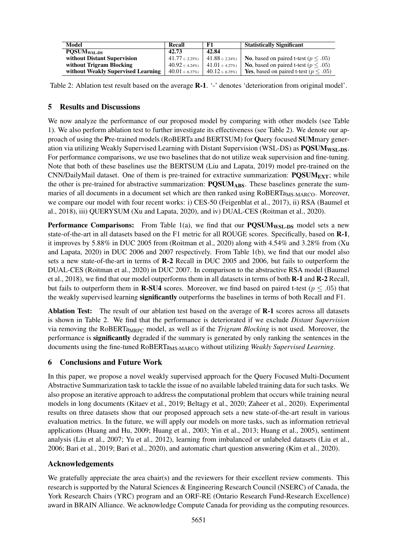| Model                              | Recall            | F1               | <b>Statistically Significant</b>                   |
|------------------------------------|-------------------|------------------|----------------------------------------------------|
| <b>POSUM<sub>WSL-DS</sub></b>      | 42.73             | 42.84            |                                                    |
| without Distant Supervision        | $41.77$ (-2.25%)  | 41.88 (- 2.24%)  | <b>No.</b> based on paired t-test ( $p \leq .05$ ) |
| without Trigram Blocking           | 40.92 $(-4.24\%)$ | 41.01 $(.4.27%)$ | <b>No</b> , based on paired t-test ( $p < .05$ )   |
| without Weakly Supervised Learning | 40.01 (- 6.37%)   | $40.12$ (-6.35%) | <b>Yes</b> , based on paired t-test ( $p < .05$ )  |

Table 2: Ablation test result based on the average **R-1**. '-' denotes 'deterioration from original model'.

## 5 Results and Discussions

We now analyze the performance of our proposed model by comparing with other models (see Table 1). We also perform ablation test to further investigate its effectiveness (see Table 2). We denote our approach of using the Pre-trained models (RoBERTa and BERTSUM) for Query focused SUMmary generation via utilizing Weakly Supervised Learning with Distant Supervision (WSL-DS) as PQSUM<sub>WSL-DS</sub>. For performance comparisons, we use two baselines that do not utilize weak supervision and fine-tuning. Note that both of these baselines use the BERTSUM (Liu and Lapata, 2019) model pre-trained on the CNN/DailyMail dataset. One of them is pre-trained for extractive summarization:  $\text{POSUM}_{\text{EXT}}$ ; while the other is pre-trained for abstractive summarization: **PQSUM<sub>ABS</sub>**. These baselines generate the summaries of all documents in a document set which are then ranked using RoBERTa<sub>MS-MARCO</sub>. Moreover, we compare our model with four recent works: i) CES-50 (Feigenblat et al., 2017), ii) RSA (Baumel et al., 2018), iii) QUERYSUM (Xu and Lapata, 2020), and iv) DUAL-CES (Roitman et al., 2020).

**Performance Comparisons:** From Table 1(a), we find that our  $\text{PQSUM}_{\text{WSL-DS}}$  model sets a new state-of-the-art in all datasets based on the F1 metric for all ROUGE scores. Specifically, based on R-1, it improves by 5.88% in DUC 2005 from (Roitman et al., 2020) along with 4.54% and 3.28% from (Xu and Lapata, 2020) in DUC 2006 and 2007 respectively. From Table 1(b), we find that our model also sets a new state-of-the-art in terms of R-2 Recall in DUC 2005 and 2006, but fails to outperform the DUAL-CES (Roitman et al., 2020) in DUC 2007. In comparison to the abstractive RSA model (Baumel et al., 2018), we find that our model outperforms them in all datasets in terms of both R-1 and R-2 Recall, but fails to outperform them in **R-SU4** scores. Moreover, we find based on paired t-test ( $p < .05$ ) that the weakly supervised learning significantly outperforms the baselines in terms of both Recall and F1.

Ablation Test: The result of our ablation test based on the average of R-1 scores across all datasets is shown in Table 2. We find that the performance is deteriorated if we exclude *Distant Supervision* via removing the RoBERTa<sub>MRPC</sub> model, as well as if the *Trigram Blocking* is not used. Moreover, the performance is significantly degraded if the summary is generated by only ranking the sentences in the documents using the fine-tuned RoBERTa<sub>MS-MARCO</sub> without utilizing *Weakly Supervised Learning*.

## 6 Conclusions and Future Work

In this paper, we propose a novel weakly supervised approach for the Query Focused Multi-Document Abstractive Summarization task to tackle the issue of no available labeled training data for such tasks. We also propose an iterative approach to address the computational problem that occurs while training neural models in long documents (Kitaev et al., 2019; Beltagy et al., 2020; Zaheer et al., 2020). Experimental results on three datasets show that our proposed approach sets a new state-of-the-art result in various evaluation metrics. In the future, we will apply our models on more tasks, such as information retrieval applications (Huang and Hu, 2009; Huang et al., 2003; Yin et al., 2013; Huang et al., 2005), sentiment analysis (Liu et al., 2007; Yu et al., 2012), learning from imbalanced or unlabeled datasets (Liu et al., 2006; Bari et al., 2019; Bari et al., 2020), and automatic chart question answering (Kim et al., 2020).

### Acknowledgements

We gratefully appreciate the area chair(s) and the reviewers for their excellent review comments. This research is supported by the Natural Sciences & Engineering Research Council (NSERC) of Canada, the York Research Chairs (YRC) program and an ORF-RE (Ontario Research Fund-Research Excellence) award in BRAIN Alliance. We acknowledge Compute Canada for providing us the computing resources.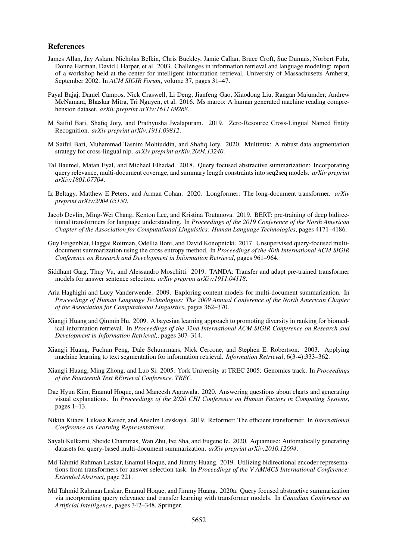#### References

- James Allan, Jay Aslam, Nicholas Belkin, Chris Buckley, Jamie Callan, Bruce Croft, Sue Dumais, Norbert Fuhr, Donna Harman, David J Harper, et al. 2003. Challenges in information retrieval and language modeling: report of a workshop held at the center for intelligent information retrieval, University of Massachusetts Amherst, September 2002. In *ACM SIGIR Forum*, volume 37, pages 31–47.
- Payal Bajaj, Daniel Campos, Nick Craswell, Li Deng, Jianfeng Gao, Xiaodong Liu, Rangan Majumder, Andrew McNamara, Bhaskar Mitra, Tri Nguyen, et al. 2016. Ms marco: A human generated machine reading comprehension dataset. *arXiv preprint arXiv:1611.09268*.
- M Saiful Bari, Shafiq Joty, and Prathyusha Jwalapuram. 2019. Zero-Resource Cross-Lingual Named Entity Recognition. *arXiv preprint arXiv:1911.09812*.
- M Saiful Bari, Muhammad Tasnim Mohiuddin, and Shafiq Joty. 2020. Multimix: A robust data augmentation strategy for cross-lingual nlp. *arXiv preprint arXiv:2004.13240*.
- Tal Baumel, Matan Eyal, and Michael Elhadad. 2018. Query focused abstractive summarization: Incorporating query relevance, multi-document coverage, and summary length constraints into seq2seq models. *arXiv preprint arXiv:1801.07704*.
- Iz Beltagy, Matthew E Peters, and Arman Cohan. 2020. Longformer: The long-document transformer. *arXiv preprint arXiv:2004.05150*.
- Jacob Devlin, Ming-Wei Chang, Kenton Lee, and Kristina Toutanova. 2019. BERT: pre-training of deep bidirectional transformers for language understanding. In *Proceedings of the 2019 Conference of the North American Chapter of the Association for Computational Linguistics: Human Language Technologies*, pages 4171–4186.
- Guy Feigenblat, Haggai Roitman, Odellia Boni, and David Konopnicki. 2017. Unsupervised query-focused multidocument summarization using the cross entropy method. In *Proceedings of the 40th International ACM SIGIR Conference on Research and Development in Information Retrieval*, pages 961–964.
- Siddhant Garg, Thuy Vu, and Alessandro Moschitti. 2019. TANDA: Transfer and adapt pre-trained transformer models for answer sentence selection. *arXiv preprint arXiv:1911.04118*.
- Aria Haghighi and Lucy Vanderwende. 2009. Exploring content models for multi-document summarization. In *Proceedings of Human Language Technologies: The 2009 Annual Conference of the North American Chapter of the Association for Computational Linguistics*, pages 362–370.
- Xiangji Huang and Qinmin Hu. 2009. A bayesian learning approach to promoting diversity in ranking for biomedical information retrieval. In *Proceedings of the 32nd International ACM SIGIR Conference on Research and Development in Information Retrieval,*, pages 307–314.
- Xiangji Huang, Fuchun Peng, Dale Schuurmans, Nick Cercone, and Stephen E. Robertson. 2003. Applying machine learning to text segmentation for information retrieval. *Information Retrieval*, 6(3-4):333–362.
- Xiangji Huang, Ming Zhong, and Luo Si. 2005. York University at TREC 2005: Genomics track. In *Proceedings of the Fourteenth Text REtrieval Conference, TREC*.
- Dae Hyun Kim, Enamul Hoque, and Maneesh Agrawala. 2020. Answering questions about charts and generating visual explanations. In *Proceedings of the 2020 CHI Conference on Human Factors in Computing Systems*, pages 1–13.
- Nikita Kitaev, Lukasz Kaiser, and Anselm Levskaya. 2019. Reformer: The efficient transformer. In *International Conference on Learning Representations*.
- Sayali Kulkarni, Sheide Chammas, Wan Zhu, Fei Sha, and Eugene Ie. 2020. Aquamuse: Automatically generating datasets for query-based multi-document summarization. *arXiv preprint arXiv:2010.12694*.
- Md Tahmid Rahman Laskar, Enamul Hoque, and Jimmy Huang. 2019. Utilizing bidirectional encoder representations from transformers for answer selection task. In *Proceedings of the V AMMCS International Conference: Extended Abstract*, page 221.
- Md Tahmid Rahman Laskar, Enamul Hoque, and Jimmy Huang. 2020a. Query focused abstractive summarization via incorporating query relevance and transfer learning with transformer models. In *Canadian Conference on Artificial Intelligence*, pages 342–348. Springer.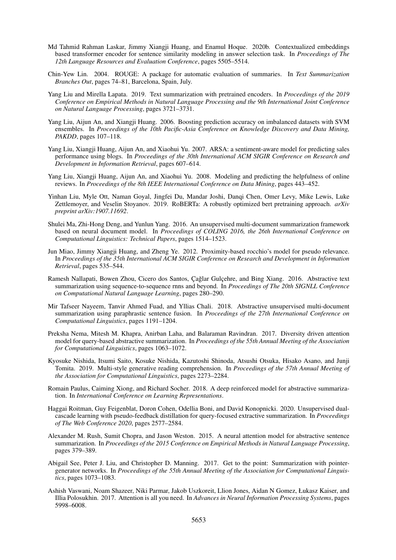- Md Tahmid Rahman Laskar, Jimmy Xiangji Huang, and Enamul Hoque. 2020b. Contextualized embeddings based transformer encoder for sentence similarity modeling in answer selection task. In *Proceedings of The 12th Language Resources and Evaluation Conference*, pages 5505–5514.
- Chin-Yew Lin. 2004. ROUGE: A package for automatic evaluation of summaries. In *Text Summarization Branches Out*, pages 74–81, Barcelona, Spain, July.
- Yang Liu and Mirella Lapata. 2019. Text summarization with pretrained encoders. In *Proceedings of the 2019 Conference on Empirical Methods in Natural Language Processing and the 9th International Joint Conference on Natural Language Processing*, pages 3721–3731.
- Yang Liu, Aijun An, and Xiangji Huang. 2006. Boosting prediction accuracy on imbalanced datasets with SVM ensembles. In *Proceedings of the 10th Pacific-Asia Conference on Knowledge Discovery and Data Mining, PAKDD*, pages 107–118.
- Yang Liu, Xiangji Huang, Aijun An, and Xiaohui Yu. 2007. ARSA: a sentiment-aware model for predicting sales performance using blogs. In *Proceedings of the 30th International ACM SIGIR Conference on Research and Development in Information Retrieval*, pages 607–614.
- Yang Liu, Xiangji Huang, Aijun An, and Xiaohui Yu. 2008. Modeling and predicting the helpfulness of online reviews. In *Proceedings of the 8th IEEE International Conference on Data Mining*, pages 443–452.
- Yinhan Liu, Myle Ott, Naman Goyal, Jingfei Du, Mandar Joshi, Danqi Chen, Omer Levy, Mike Lewis, Luke Zettlemoyer, and Veselin Stoyanov. 2019. RoBERTa: A robustly optimized bert pretraining approach. *arXiv preprint arXiv:1907.11692*.
- Shulei Ma, Zhi-Hong Deng, and Yunlun Yang. 2016. An unsupervised multi-document summarization framework based on neural document model. In *Proceedings of COLING 2016, the 26th International Conference on Computational Linguistics: Technical Papers*, pages 1514–1523.
- Jun Miao, Jimmy Xiangji Huang, and Zheng Ye. 2012. Proximity-based rocchio's model for pseudo relevance. In *Proceedings of the 35th International ACM SIGIR Conference on Research and Development in Information Retrieval*, pages 535–544.
- Ramesh Nallapati, Bowen Zhou, Cicero dos Santos, Çağlar Gulçehre, and Bing Xiang. 2016. Abstractive text summarization using sequence-to-sequence rnns and beyond. In *Proceedings of The 20th SIGNLL Conference on Computational Natural Language Learning*, pages 280–290.
- Mir Tafseer Nayeem, Tanvir Ahmed Fuad, and Yllias Chali. 2018. Abstractive unsupervised multi-document summarization using paraphrastic sentence fusion. In *Proceedings of the 27th International Conference on Computational Linguistics*, pages 1191–1204.
- Preksha Nema, Mitesh M. Khapra, Anirban Laha, and Balaraman Ravindran. 2017. Diversity driven attention model for query-based abstractive summarization. In *Proceedings of the 55th Annual Meeting of the Association for Computational Linguistics*, pages 1063–1072.
- Kyosuke Nishida, Itsumi Saito, Kosuke Nishida, Kazutoshi Shinoda, Atsushi Otsuka, Hisako Asano, and Junji Tomita. 2019. Multi-style generative reading comprehension. In *Proceedings of the 57th Annual Meeting of the Association for Computational Linguistics*, pages 2273–2284.
- Romain Paulus, Caiming Xiong, and Richard Socher. 2018. A deep reinforced model for abstractive summarization. In *International Conference on Learning Representations*.
- Haggai Roitman, Guy Feigenblat, Doron Cohen, Odellia Boni, and David Konopnicki. 2020. Unsupervised dualcascade learning with pseudo-feedback distillation for query-focused extractive summarization. In *Proceedings of The Web Conference 2020*, pages 2577–2584.
- Alexander M. Rush, Sumit Chopra, and Jason Weston. 2015. A neural attention model for abstractive sentence summarization. In *Proceedings of the 2015 Conference on Empirical Methods in Natural Language Processing*, pages 379–389.
- Abigail See, Peter J. Liu, and Christopher D. Manning. 2017. Get to the point: Summarization with pointergenerator networks. In *Proceedings of the 55th Annual Meeting of the Association for Computational Linguistics*, pages 1073–1083.
- Ashish Vaswani, Noam Shazeer, Niki Parmar, Jakob Uszkoreit, Llion Jones, Aidan N Gomez, Łukasz Kaiser, and Illia Polosukhin. 2017. Attention is all you need. In *Advances in Neural Information Processing Systems*, pages 5998–6008.